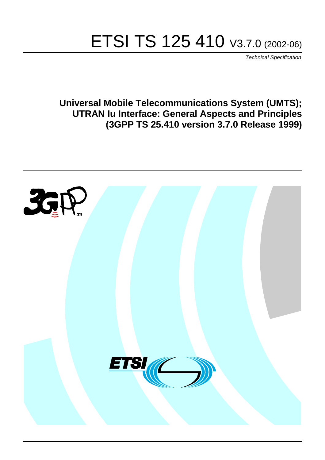# ETSI TS 125 410 V3.7.0 (2002-06)

Technical Specification

**Universal Mobile Telecommunications System (UMTS); UTRAN Iu Interface: General Aspects and Principles (3GPP TS 25.410 version 3.7.0 Release 1999)**

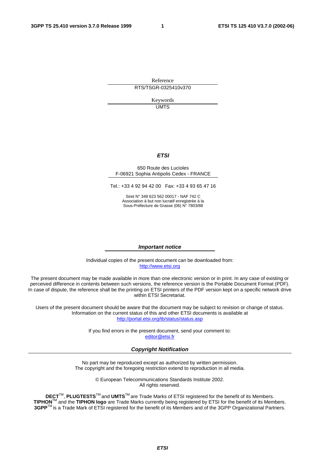Reference RTS/TSGR-0325410v370

> Keywords UMTS

#### **ETSI**

#### 650 Route des Lucioles F-06921 Sophia Antipolis Cedex - FRANCE

Tel.: +33 4 92 94 42 00 Fax: +33 4 93 65 47 16

Siret N° 348 623 562 00017 - NAF 742 C Association à but non lucratif enregistrée à la Sous-Préfecture de Grasse (06) N° 7803/88

#### **Important notice**

Individual copies of the present document can be downloaded from: [http://www.etsi.org](http://www.etsi.org/)

The present document may be made available in more than one electronic version or in print. In any case of existing or perceived difference in contents between such versions, the reference version is the Portable Document Format (PDF). In case of dispute, the reference shall be the printing on ETSI printers of the PDF version kept on a specific network drive within ETSI Secretariat.

Users of the present document should be aware that the document may be subject to revision or change of status. Information on the current status of this and other ETSI documents is available at <http://portal.etsi.org/tb/status/status.asp>

> If you find errors in the present document, send your comment to: [editor@etsi.fr](mailto:editor@etsi.fr)

#### **Copyright Notification**

No part may be reproduced except as authorized by written permission. The copyright and the foregoing restriction extend to reproduction in all media.

> © European Telecommunications Standards Institute 2002. All rights reserved.

**DECT**TM, **PLUGTESTS**TM and **UMTS**TM are Trade Marks of ETSI registered for the benefit of its Members. **TIPHON**TM and the **TIPHON logo** are Trade Marks currently being registered by ETSI for the benefit of its Members. **3GPP**TM is a Trade Mark of ETSI registered for the benefit of its Members and of the 3GPP Organizational Partners.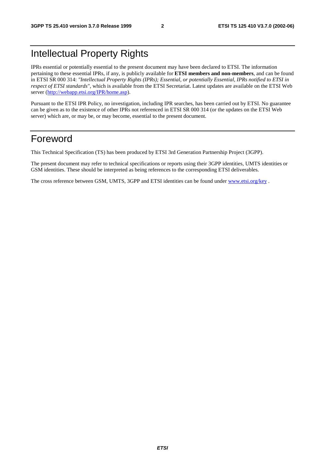# Intellectual Property Rights

IPRs essential or potentially essential to the present document may have been declared to ETSI. The information pertaining to these essential IPRs, if any, is publicly available for **ETSI members and non-members**, and can be found in ETSI SR 000 314: *"Intellectual Property Rights (IPRs); Essential, or potentially Essential, IPRs notified to ETSI in respect of ETSI standards"*, which is available from the ETSI Secretariat. Latest updates are available on the ETSI Web server ([http://webapp.etsi.org/IPR/home.asp\)](http://webapp.etsi.org/IPR/home.asp).

Pursuant to the ETSI IPR Policy, no investigation, including IPR searches, has been carried out by ETSI. No guarantee can be given as to the existence of other IPRs not referenced in ETSI SR 000 314 (or the updates on the ETSI Web server) which are, or may be, or may become, essential to the present document.

# Foreword

This Technical Specification (TS) has been produced by ETSI 3rd Generation Partnership Project (3GPP).

The present document may refer to technical specifications or reports using their 3GPP identities, UMTS identities or GSM identities. These should be interpreted as being references to the corresponding ETSI deliverables.

The cross reference between GSM, UMTS, 3GPP and ETSI identities can be found under [www.etsi.org/key](http://www.etsi.org/key) .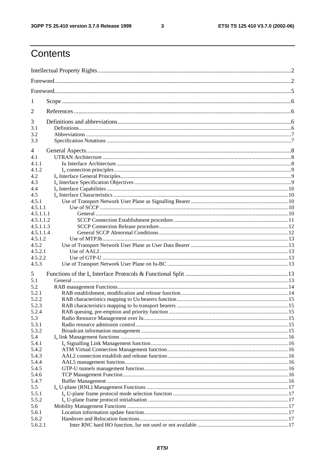$\mathbf{3}$ 

# Contents

| 1            |  |  |  |  |
|--------------|--|--|--|--|
| 2            |  |  |  |  |
| 3            |  |  |  |  |
| 3.1          |  |  |  |  |
| 3.2<br>3.3   |  |  |  |  |
|              |  |  |  |  |
| 4            |  |  |  |  |
| 4.1          |  |  |  |  |
| 4.1.1        |  |  |  |  |
| 4.1.2        |  |  |  |  |
| 4.2          |  |  |  |  |
| 4.3<br>4.4   |  |  |  |  |
| 4.5          |  |  |  |  |
| 4.5.1        |  |  |  |  |
| 4.5.1.1      |  |  |  |  |
| 4.5.1.1.1    |  |  |  |  |
| 4.5.1.1.2    |  |  |  |  |
| 4.5.1.1.3    |  |  |  |  |
| 4.5.1.1.4    |  |  |  |  |
| 4.5.1.2      |  |  |  |  |
| 4.5.2        |  |  |  |  |
| 4.5.2.1      |  |  |  |  |
| 4.5.2.2      |  |  |  |  |
| 4.5.3        |  |  |  |  |
| 5            |  |  |  |  |
| 5.1          |  |  |  |  |
| 5.2          |  |  |  |  |
| 5.2.1        |  |  |  |  |
| 5.2.2        |  |  |  |  |
| 5.2.3        |  |  |  |  |
| 5.2.4        |  |  |  |  |
| 5.3          |  |  |  |  |
| 5.3.1        |  |  |  |  |
| 5.3.2<br>5.4 |  |  |  |  |
| 5.4.1        |  |  |  |  |
| 5.4.2        |  |  |  |  |
| 5.4.3        |  |  |  |  |
| 5.4.4        |  |  |  |  |
| 5.4.5        |  |  |  |  |
| 5.4.6        |  |  |  |  |
| 5.4.7        |  |  |  |  |
| 5.5          |  |  |  |  |
| 5.5.1        |  |  |  |  |
| 5.5.2        |  |  |  |  |
| 5.6          |  |  |  |  |
| 5.6.1        |  |  |  |  |
| 5.6.2        |  |  |  |  |
| 5.6.2.1      |  |  |  |  |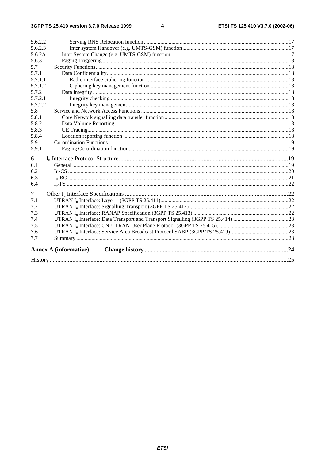#### $\overline{\mathbf{4}}$

| 5.6.2.2 |                               |  |  |  |
|---------|-------------------------------|--|--|--|
| 5.6.2.3 |                               |  |  |  |
| 5.6.2A  |                               |  |  |  |
| 5.6.3   |                               |  |  |  |
| 5.7     |                               |  |  |  |
| 5.7.1   |                               |  |  |  |
| 5.7.1.1 |                               |  |  |  |
| 5.7.1.2 |                               |  |  |  |
| 5.7.2   |                               |  |  |  |
| 5.7.2.1 |                               |  |  |  |
| 5.7.2.2 |                               |  |  |  |
| 5.8     |                               |  |  |  |
| 5.8.1   |                               |  |  |  |
| 5.8.2   |                               |  |  |  |
| 5.8.3   |                               |  |  |  |
| 5.8.4   |                               |  |  |  |
| 5.9     |                               |  |  |  |
| 5.9.1   |                               |  |  |  |
| 6       |                               |  |  |  |
| 6.1     |                               |  |  |  |
| 6.2     |                               |  |  |  |
| 6.3     |                               |  |  |  |
| 6.4     |                               |  |  |  |
| 7       |                               |  |  |  |
| 7.1     |                               |  |  |  |
| 7.2     |                               |  |  |  |
| 7.3     |                               |  |  |  |
| 7.4     |                               |  |  |  |
| 7.5     |                               |  |  |  |
| 7.6     |                               |  |  |  |
| 7.7     |                               |  |  |  |
|         | <b>Annex A (informative):</b> |  |  |  |
|         |                               |  |  |  |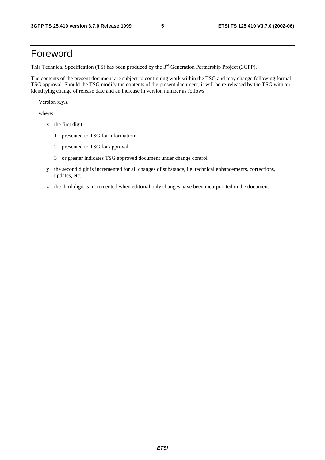# Foreword

This Technical Specification (TS) has been produced by the 3<sup>rd</sup> Generation Partnership Project (3GPP).

The contents of the present document are subject to continuing work within the TSG and may change following formal TSG approval. Should the TSG modify the contents of the present document, it will be re-released by the TSG with an identifying change of release date and an increase in version number as follows:

Version x.y.z

where:

- x the first digit:
	- 1 presented to TSG for information;
	- 2 presented to TSG for approval;
	- 3 or greater indicates TSG approved document under change control.
- y the second digit is incremented for all changes of substance, i.e. technical enhancements, corrections, updates, etc.
- z the third digit is incremented when editorial only changes have been incorporated in the document.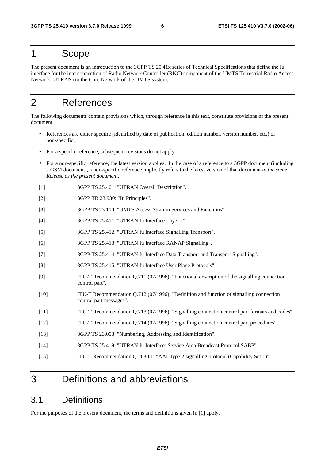# 1 Scope

The present document is an introduction to the 3GPP TS 25.41x series of Technical Specifications that define the Iu interface for the interconnection of Radio Network Controller (RNC) component of the UMTS Terrestrial Radio Access Network (UTRAN) to the Core Network of the UMTS system.

# 2 References

The following documents contain provisions which, through reference in this text, constitute provisions of the present document.

- References are either specific (identified by date of publication, edition number, version number, etc.) or non-specific.
- For a specific reference, subsequent revisions do not apply.
- For a non-specific reference, the latest version applies. In the case of a reference to a 3GPP document (including a GSM document), a non-specific reference implicitly refers to the latest version of that document *in the same Release as the present document*.
- [1] 3GPP TS 25.401: "UTRAN Overall Description".
- [2] 3GPP TR 23.930: "Iu Principles".
- [3] 3GPP TS 23.110: "UMTS Access Stratum Services and Functions".
- [4] 3GPP TS 25.411: "UTRAN Iu Interface Layer 1".
- [5] 3GPP TS 25.412: "UTRAN Iu Interface Signalling Transport".
- [6] 3GPP TS 25.413: "UTRAN Iu Interface RANAP Signalling".
- [7] 3GPP TS 25.414: "UTRAN Iu Interface Data Transport and Transport Signalling".
- [8] 3GPP TS 25.415: "UTRAN Iu Interface User Plane Protocols".
- [9] ITU-T Recommendation Q.711 (07/1996): "Functional description of the signalling connection control part".
- [10] ITU-T Recommendation Q.712 (07/1996): "Definition and function of signalling connection control part messages".
- [11] ITU-T Recommendation Q.713 (07/1996): "Signalling connection control part formats and codes".
- [12] ITU-T Recommendation Q.714 (07/1996): "Signalling connection control part procedures".
- [13] 3GPP TS 23.003: "Numbering, Addressing and Identification".
- [14] 3GPP TS 25.419: "UTRAN Iu Interface: Service Area Broadcast Protocol SABP".
- [15] ITU-T Recommendation Q.2630.1: "AAL type 2 signalling protocol (Capability Set 1)".

# 3 Definitions and abbreviations

### 3.1 Definitions

For the purposes of the present document, the terms and definitions given in [1] apply.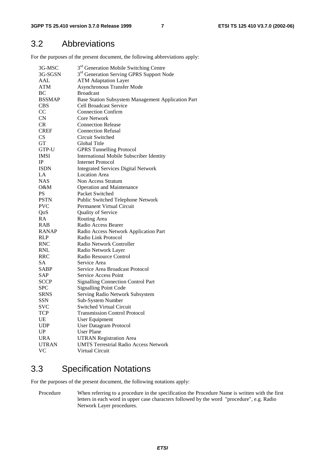# 3.2 Abbreviations

For the purposes of the present document, the following abbreviations apply:

| 3G-MSC        | 3 <sup>rd</sup> Generation Mobile Switching Centre   |  |  |
|---------------|------------------------------------------------------|--|--|
| 3G-SGSN       | 3 <sup>rd</sup> Generation Serving GPRS Support Node |  |  |
| AAL           | <b>ATM Adaptation Layer</b>                          |  |  |
| <b>ATM</b>    | <b>Asynchronous Transfer Mode</b>                    |  |  |
| BC            | <b>Broadcast</b>                                     |  |  |
| <b>BSSMAP</b> | Base Station Subsystem Management Application Part   |  |  |
| <b>CBS</b>    | <b>Cell Broadcast Service</b>                        |  |  |
| CC            | <b>Connection Confirm</b>                            |  |  |
| CN            | <b>Core Network</b>                                  |  |  |
| CR            | <b>Connection Release</b>                            |  |  |
| <b>CREF</b>   | <b>Connection Refusal</b>                            |  |  |
| <b>CS</b>     | Circuit Switched                                     |  |  |
| GT            | Global Title                                         |  |  |
| GTP-U         | <b>GPRS Tunnelling Protocol</b>                      |  |  |
| <b>IMSI</b>   | <b>International Mobile Subscriber Identity</b>      |  |  |
| $_{\rm IP}$   | <b>Internet Protocol</b>                             |  |  |
| <b>ISDN</b>   | <b>Integrated Services Digital Network</b>           |  |  |
| LA            | <b>Location Area</b>                                 |  |  |
| <b>NAS</b>    | Non Access Stratum                                   |  |  |
| 0&M           | <b>Operation and Maintenance</b>                     |  |  |
| <b>PS</b>     | Packet Switched                                      |  |  |
| <b>PSTN</b>   | Public Switched Telephone Network                    |  |  |
| <b>PVC</b>    | Permanent Virtual Circuit                            |  |  |
| QoS           | Quality of Service                                   |  |  |
| RA            | Routing Area                                         |  |  |
| RAB           | Radio Access Bearer                                  |  |  |
| <b>RANAP</b>  | Radio Access Network Application Part                |  |  |
| <b>RLP</b>    | Radio Link Protocol                                  |  |  |
| <b>RNC</b>    | Radio Network Controller                             |  |  |
| <b>RNL</b>    | Radio Network Layer                                  |  |  |
| RRC           | Radio Resource Control                               |  |  |
| <b>SA</b>     | Service Area                                         |  |  |
| SABP          | Service Area Broadcast Protocol                      |  |  |
| SAP           | <b>Service Access Point</b>                          |  |  |
| <b>SCCP</b>   | <b>Signalling Connection Control Part</b>            |  |  |
| <b>SPC</b>    | <b>Signalling Point Code</b>                         |  |  |
| <b>SRNS</b>   | Serving Radio Network Subsystem                      |  |  |
| <b>SSN</b>    | Sub-System Number                                    |  |  |
| <b>SVC</b>    | Switched Virtual Circuit                             |  |  |
| TCP           | <b>Transmission Control Protocol</b>                 |  |  |
| UE            | User Equipment                                       |  |  |
| <b>UDP</b>    | <b>User Datagram Protocol</b>                        |  |  |
| UP            | <b>User Plane</b>                                    |  |  |
| <b>URA</b>    | <b>UTRAN Registration Area</b>                       |  |  |
| <b>UTRAN</b>  |                                                      |  |  |
|               | <b>UMTS Terrestrial Radio Access Network</b>         |  |  |
| <b>VC</b>     | Virtual Circuit                                      |  |  |

# 3.3 Specification Notations

For the purposes of the present document, the following notations apply:

Procedure When referring to a procedure in the specification the Procedure Name is written with the first letters in each word in upper case characters followed by the word "procedure", e.g. Radio Network Layer procedures.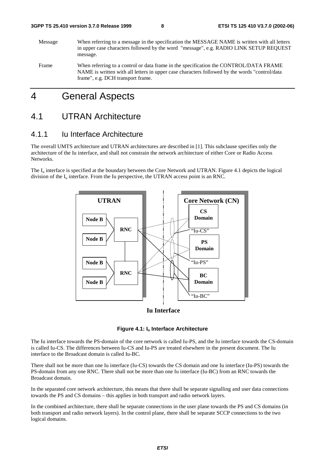Message When referring to a message in the specification the MESSAGE NAME is written with all letters in upper case characters followed by the word "message", e.g. RADIO LINK SETUP REQUEST message. Frame When referring to a control or data frame in the specification the CONTROL/DATA FRAME NAME is written with all letters in upper case characters followed by the words "control/data

# 4 General Aspects

frame", e.g. DCH transport frame.

# 4.1 UTRAN Architecture

### 4.1.1 Iu Interface Architecture

The overall UMTS architecture and UTRAN architectures are described in [1]. This subclause specifies only the architecture of the Iu interface, and shall not constrain the network architecture of either Core or Radio Access Networks.

The  $I_{\text{u}}$  interface is specified at the boundary between the Core Network and UTRAN. Figure 4.1 depicts the logical division of the  $I_{\nu}$  interface. From the Iu perspective, the UTRAN access point is an RNC.



#### **Iu Interface**

#### **Figure 4.1: Iu Interface Architecture**

The Iu interface towards the PS-domain of the core network is called Iu-PS, and the Iu interface towards the CS-domain is called Iu-CS. The differences between Iu-CS and Iu-PS are treated elsewhere in the present document. The Iu interface to the Broadcast domain is called Iu-BC.

There shall not be more than one Iu interface (Iu-CS) towards the CS domain and one Iu interface (Iu-PS) towards the PS-domain from any one RNC. There shall not be more than one Iu interface (Iu-BC) from an RNC towards the Broadcast domain.

In the separated core network architecture, this means that there shall be separate signalling and user data connections towards the PS and CS domains – this applies in both transport and radio network layers.

In the combined architecture, there shall be separate connections in the user plane towards the PS and CS domains (in both transport and radio network layers). In the control plane, there shall be separate SCCP connections to the two logical domains.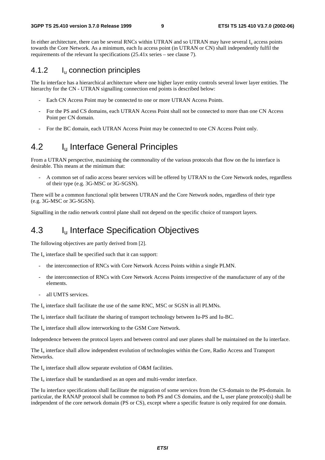In either architecture, there can be several RNCs within UTRAN and so UTRAN may have several I<sub>n</sub> access points towards the Core Network. As a minimum, each Iu access point (in UTRAN or CN) shall independently fulfil the requirements of the relevant Iu specifications (25.41x series – see clause 7).

### 4.1.2 Iu connection principles

The Iu interface has a hierarchical architecture where one higher layer entity controls several lower layer entities. The hierarchy for the CN - UTRAN signalling connection end points is described below:

- Each CN Access Point may be connected to one or more UTRAN Access Points.
- For the PS and CS domains, each UTRAN Access Point shall not be connected to more than one CN Access Point per CN domain.
- For the BC domain, each UTRAN Access Point may be connected to one CN Access Point only.

# 4.2 I<sub>u</sub> Interface General Principles

From a UTRAN perspective, maximising the commonality of the various protocols that flow on the Iu interface is desirable. This means at the minimum that:

- A common set of radio access bearer services will be offered by UTRAN to the Core Network nodes, regardless of their type (e.g. 3G-MSC or 3G-SGSN).

There will be a common functional split between UTRAN and the Core Network nodes, regardless of their type (e.g. 3G-MSC or 3G-SGSN).

Signalling in the radio network control plane shall not depend on the specific choice of transport layers.

# 4.3 Iu Interface Specification Objectives

The following objectives are partly derived from [2].

The  $I_{\nu}$  interface shall be specified such that it can support:

- the interconnection of RNCs with Core Network Access Points within a single PLMN.
- the interconnection of RNCs with Core Network Access Points irrespective of the manufacturer of any of the elements.
- all UMTS services.

The  $I_u$  interface shall facilitate the use of the same RNC, MSC or SGSN in all PLMNs.

The Iu interface shall facilitate the sharing of transport technology between Iu-PS and Iu-BC.

The I<sub>u</sub> interface shall allow interworking to the GSM Core Network.

Independence between the protocol layers and between control and user planes shall be maintained on the Iu interface.

The  $I_{\text{u}}$  interface shall allow independent evolution of technologies within the Core, Radio Access and Transport Networks.

The  $I_{\text{u}}$  interface shall allow separate evolution of O&M facilities.

The  $I_u$  interface shall be standardised as an open and multi-vendor interface.

The Iu interface specifications shall facilitate the migration of some services from the CS-domain to the PS-domain. In particular, the RANAP protocol shall be common to both PS and CS domains, and the  $I_u$  user plane protocol(s) shall be independent of the core network domain (PS or CS), except where a specific feature is only required for one domain.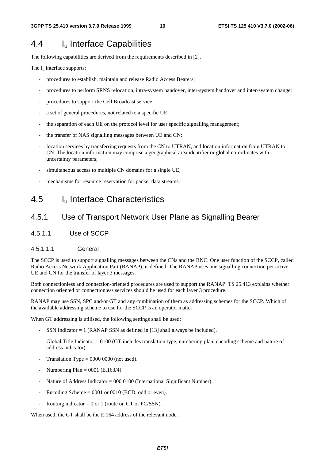# 4.4 Iu Interface Capabilities

The following capabilities are derived from the requirements described in [2].

The  $I_u$  interface supports:

- procedures to establish, maintain and release Radio Access Bearers;
- procedures to perform SRNS relocation, intra-system handover, inter-system handover and inter-system change;
- procedures to support the Cell Broadcast service;
- a set of general procedures, not related to a specific UE;
- the separation of each UE on the protocol level for user specific signalling management;
- the transfer of NAS signalling messages between UE and CN;
- location services by transferring requests from the CN to UTRAN, and location information from UTRAN to CN. The location information may comprise a geographical area identifier or global co-ordinates with uncertainty parameters;
- simultaneous access to multiple CN domains for a single UE;
- mechanisms for resource reservation for packet data streams.

# 4.5 Iu Interface Characteristics

# 4.5.1 Use of Transport Network User Plane as Signalling Bearer

4.5.1.1 Use of SCCP

#### 4.5.1.1.1 General

The SCCP is used to support signalling messages between the CNs and the RNC. One user function of the SCCP, called Radio Access Network Application Part (RANAP), is defined. The RANAP uses one signalling connection per active UE and CN for the transfer of layer 3 messages.

Both connectionless and connection-oriented procedures are used to support the RANAP. TS 25.413 explains whether connection oriented or connectionless services should be used for each layer 3 procedure.

RANAP may use SSN, SPC and/or GT and any combination of them as addressing schemes for the SCCP. Which of the available addressing scheme to use for the SCCP is an operator matter.

When GT addressing is utilised, the following settings shall be used:

- SSN Indicator  $= 1$  (RANAP SSN as defined in [13] shall always be included).
- Global Title Indicator = 0100 (GT includes translation type, numbering plan, encoding scheme and nature of address indicator).
- Translation Type  $= 0000 0000$  (not used).
- Numbering Plan =  $0001$  (E.163/4).
- Nature of Address Indicator = 000 0100 (International Significant Number).
- Encoding Scheme  $= 0001$  or 0010 (BCD, odd or even).
- Routing indicator = 0 or 1 (route on GT or PC/SSN).

When used, the GT shall be the E.164 address of the relevant node.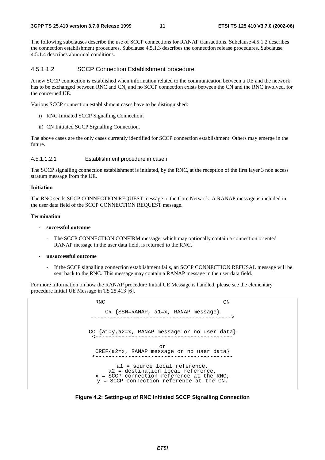The following subclauses describe the use of SCCP connections for RANAP transactions. Subclause 4.5.1.2 describes the connection establishment procedures. Subclause 4.5.1.3 describes the connection release procedures. Subclause 4.5.1.4 describes abnormal conditions.

#### 4.5.1.1.2 SCCP Connection Establishment procedure

A new SCCP connection is established when information related to the communication between a UE and the network has to be exchanged between RNC and CN, and no SCCP connection exists between the CN and the RNC involved, for the concerned UE.

Various SCCP connection establishment cases have to be distinguished:

- i) RNC Initiated SCCP Signalling Connection;
- ii) CN Initiated SCCP Signalling Connection.

The above cases are the only cases currently identified for SCCP connection establishment. Others may emerge in the future.

#### 4.5.1.1.2.1 Establishment procedure in case i

The SCCP signalling connection establishment is initiated, by the RNC, at the reception of the first layer 3 non access stratum message from the UE.

#### **Initiation**

The RNC sends SCCP CONNECTION REQUEST message to the Core Network. A RANAP message is included in the user data field of the SCCP CONNECTION REQUEST message.

#### **Termination**

- **successful outcome** 
	- The SCCP CONNECTION CONFIRM message, which may optionally contain a connection oriented RANAP message in the user data field, is returned to the RNC.
- **unsuccessful outcome** 
	- If the SCCP signalling connection establishment fails, an SCCP CONNECTION REFUSAL message will be sent back to the RNC. This message may contain a RANAP message in the user data field.

For more information on how the RANAP procedure Initial UE Message is handled, please see the elementary procedure Initial UE Message in TS 25.413 [6].

| <b>RNC</b>                                                                                                                                                   | CΝ |
|--------------------------------------------------------------------------------------------------------------------------------------------------------------|----|
| CR $\{SSN=RANAP, a1=x, RANAP message\}$                                                                                                                      |    |
| CC $\{a1=y, a2=x, RANAP message or no user data\}$                                                                                                           |    |
| or<br>CREF ${az=x, RANAP message or no user data}$                                                                                                           |    |
| al = source local reference,<br>a2 = destination local reference,<br>$x = SCCP$ connection reference at the RNC,<br>y = SCCP connection reference at the CN. |    |

**Figure 4.2: Setting-up of RNC Initiated SCCP Signalling Connection**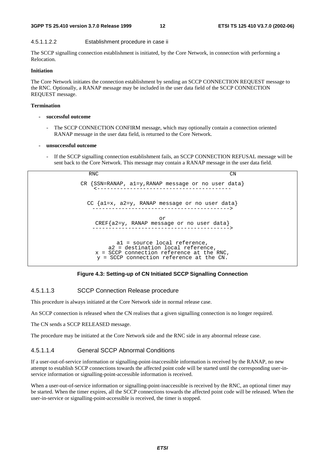#### **3GPP TS 25.410 version 3.7.0 Release 1999 12 ETSI TS 125 410 V3.7.0 (2002-06)**

#### 4.5.1.1.2.2 Establishment procedure in case ii

The SCCP signalling connection establishment is initiated, by the Core Network, in connection with performing a Relocation.

#### **Initiation**

The Core Network initiates the connection establishment by sending an SCCP CONNECTION REQUEST message to the RNC. Optionally, a RANAP message may be included in the user data field of the SCCP CONNECTION REQUEST message.

#### **Termination**

- **successful outcome** 
	- The SCCP CONNECTION CONFIRM message, which may optionally contain a connection oriented RANAP message in the user data field, is returned to the Core Network.

#### **- unsuccessful outcome**

If the SCCP signalling connection establishment fails, an SCCP CONNECTION REFUSAL message will be sent back to the Core Network. This message may contain a RANAP message in the user data field.

RNC CN CR {SSN=RANAP, a1=y,RANAP message or no user data} <----------------------------------------- CC {a1=x, a2=y, RANAP message or no user data} ------------------------------------------> or CREF{a2=y, RANAP message or no user data} ------------------------------------------> a1 = source local reference, a2 = destination local reference, x = SCCP connection reference at the RNC, y = SCCP connection reference at the CN.

#### **Figure 4.3: Setting-up of CN Initiated SCCP Signalling Connection**

#### 4.5.1.1.3 SCCP Connection Release procedure

This procedure is always initiated at the Core Network side in normal release case.

An SCCP connection is released when the CN realises that a given signalling connection is no longer required.

The CN sends a SCCP RELEASED message.

The procedure may be initiated at the Core Network side and the RNC side in any abnormal release case.

#### 4.5.1.1.4 General SCCP Abnormal Conditions

If a user-out-of-service information or signalling-point-inaccessible information is received by the RANAP, no new attempt to establish SCCP connections towards the affected point code will be started until the corresponding user-inservice information or signalling-point-accessible information is received.

When a user-out-of-service information or signalling-point-inaccessible is received by the RNC, an optional timer may be started. When the timer expires, all the SCCP connections towards the affected point code will be released. When the user-in-service or signalling-point-accessible is received, the timer is stopped.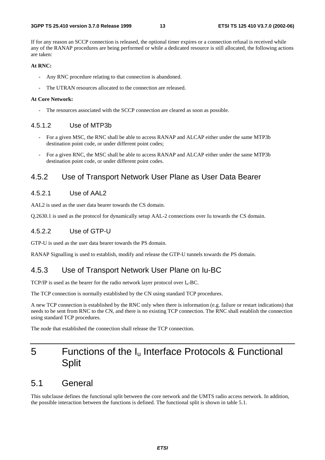If for any reason an SCCP connection is released, the optional timer expires or a connection refusal is received while any of the RANAP procedures are being performed or while a dedicated resource is still allocated, the following actions are taken:

#### **At RNC:**

- Any RNC procedure relating to that connection is abandoned.
- The UTRAN resources allocated to the connection are released.

#### **At Core Network:**

The resources associated with the SCCP connection are cleared as soon as possible.

#### 4.5.1.2 Use of MTP3b

- For a given MSC, the RNC shall be able to access RANAP and ALCAP either under the same MTP3b destination point code, or under different point codes;
- For a given RNC, the MSC shall be able to access RANAP and ALCAP either under the same MTP3b destination point code, or under different point codes.

### 4.5.2 Use of Transport Network User Plane as User Data Bearer

#### 4.5.2.1 Use of AAL2

AAL2 is used as the user data bearer towards the CS domain.

Q.2630.1 is used as the protocol for dynamically setup AAL-2 connections over Iu towards the CS domain.

#### 4.5.2.2 Use of GTP-U

GTP-U is used as the user data bearer towards the PS domain.

RANAP Signalling is used to establish, modify and release the GTP-U tunnels towards the PS domain.

### 4.5.3 Use of Transport Network User Plane on Iu-BC

TCP/IP is used as the bearer for the radio network layer protocol over  $I_u$ -BC.

The TCP connection is normally established by the CN using standard TCP procedures.

A new TCP connection is established by the RNC only when there is information (e.g. failure or restart indications) that needs to be sent from RNC to the CN, and there is no existing TCP connection. The RNC shall establish the connection using standard TCP procedures.

The node that established the connection shall release the TCP connection.

# 5 Functions of the  $I_u$  Interface Protocols & Functional **Split**

# 5.1 General

This subclause defines the functional split between the core network and the UMTS radio access network. In addition, the possible interaction between the functions is defined. The functional split is shown in table 5.1.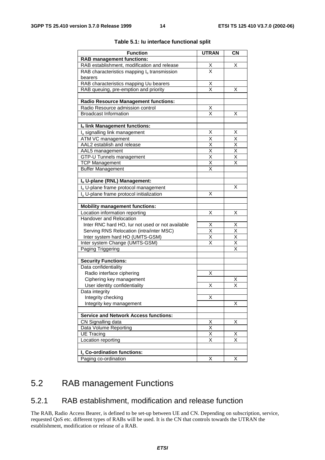| <b>Function</b>                                           | <b>UTRAN</b>                        | <b>CN</b>                       |
|-----------------------------------------------------------|-------------------------------------|---------------------------------|
| <b>RAB management functions:</b>                          |                                     |                                 |
| RAB establishment, modification and release               |                                     | х                               |
| RAB characteristics mapping $I_u$ transmission            | $\frac{\mathsf{X}}{\mathsf{X}}$     |                                 |
| bearers                                                   |                                     |                                 |
| RAB characteristics mapping Uu bearers                    |                                     |                                 |
| RAB queuing, pre-emption and priority                     | $\frac{\mathsf{X}}{\mathsf{X}}$     | х                               |
|                                                           |                                     |                                 |
| <b>Radio Resource Management functions:</b>               |                                     |                                 |
| Radio Resource admission control                          | $\frac{\mathsf{X}}{\mathsf{X}}$     |                                 |
| <b>Broadcast Information</b>                              |                                     | Χ                               |
| Iu link Management functions:                             |                                     |                                 |
| I <sub>u</sub> signalling link management                 | Χ                                   | Χ                               |
| ATM VC management                                         | $\times$                            | Χ                               |
| AAL2 establish and release                                |                                     | $\overline{\mathsf{x}}$         |
| AAL5 management                                           | $\frac{\overline{x}}{\overline{x}}$ | $\overline{\mathsf{x}}$         |
| GTP-U Tunnels management                                  | $\overline{\mathsf{x}}$             | Χ                               |
| <b>TCP Management</b>                                     | $\overline{\mathsf{x}}$             | $\overline{\mathsf{x}}$         |
| <b>Buffer Management</b>                                  | X                                   |                                 |
|                                                           |                                     |                                 |
| Iu U-plane (RNL) Management:                              |                                     |                                 |
| I <sub>u</sub> U-plane frame protocol management          |                                     | X                               |
| I <sub>u</sub> U-plane frame protocol initialization      | X                                   |                                 |
|                                                           |                                     |                                 |
| <b>Mobility management functions:</b>                     |                                     |                                 |
| Location information reporting<br>Handover and Relocation | Χ                                   | X                               |
| Inter RNC hard HO, lur not used or not available          |                                     |                                 |
| Serving RNS Relocation (intra/inter MSC)                  | $\frac{X}{X}$                       | $\frac{\mathsf{X}}{\mathsf{X}}$ |
| Inter system hard HO (UMTS-GSM)                           | $\overline{\mathsf{x}}$             | $\overline{\mathsf{X}}$         |
| Inter system Change (UMTS-GSM)                            | $\overline{\mathsf{x}}$             | $\overline{\mathsf{X}}$         |
| Paging Triggering                                         |                                     | $\overline{\mathsf{x}}$         |
|                                                           |                                     |                                 |
| <b>Security Functions:</b>                                |                                     |                                 |
| Data confidentiality                                      |                                     |                                 |
| Radio interface ciphering                                 | Χ                                   |                                 |
| Ciphering key management                                  |                                     | Χ                               |
| User identity confidentiality                             | Χ                                   | $\overline{\mathsf{x}}$         |
| Data integrity                                            |                                     |                                 |
| Integrity checking                                        | X                                   |                                 |
| Integrity key management                                  |                                     | X                               |
| <b>Service and Network Access functions:</b>              |                                     |                                 |
| CN Signalling data                                        |                                     | Χ                               |
| Data Volume Reporting                                     | $\frac{X}{X}$                       |                                 |
| <b>UE Tracing</b>                                         | $\overline{\mathsf{x}}$             | х                               |
| Location reporting                                        | $\overline{\mathsf{x}}$             | $\overline{\mathsf{x}}$         |
|                                                           |                                     |                                 |
| I <sub>u</sub> Co-ordination functions:                   |                                     |                                 |
| Paging co-ordination                                      | X                                   | X                               |

#### **Table 5.1: Iu interface functional split**

# 5.2 RAB management Functions

### 5.2.1 RAB establishment, modification and release function

The RAB, Radio Access Bearer, is defined to be set-up between UE and CN. Depending on subscription, service, requested QoS etc. different types of RABs will be used. It is the CN that controls towards the UTRAN the establishment, modification or release of a RAB.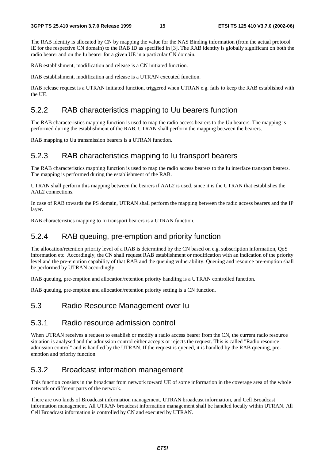The RAB identity is allocated by CN by mapping the value for the NAS Binding information (from the actual protocol IE for the respective CN domain) to the RAB ID as specified in [3]. The RAB identity is globally significant on both the radio bearer and on the Iu bearer for a given UE in a particular CN domain.

RAB establishment, modification and release is a CN initiated function.

RAB establishment, modification and release is a UTRAN executed function.

RAB release request is a UTRAN initiated function, triggered when UTRAN e.g. fails to keep the RAB established with the UE.

### 5.2.2 RAB characteristics mapping to Uu bearers function

The RAB characteristics mapping function is used to map the radio access bearers to the Uu bearers. The mapping is performed during the establishment of the RAB. UTRAN shall perform the mapping between the bearers.

RAB mapping to Uu transmission bearers is a UTRAN function.

### 5.2.3 RAB characteristics mapping to Iu transport bearers

The RAB characteristics mapping function is used to map the radio access bearers to the Iu interface transport bearers. The mapping is performed during the establishment of the RAB.

UTRAN shall perform this mapping between the bearers if AAL2 is used, since it is the UTRAN that establishes the AAL2 connections.

In case of RAB towards the PS domain, UTRAN shall perform the mapping between the radio access bearers and the IP layer.

RAB characteristics mapping to Iu transport bearers is a UTRAN function.

### 5.2.4 RAB queuing, pre-emption and priority function

The allocation/retention priority level of a RAB is determined by the CN based on e.g. subscription information, QoS information etc. Accordingly, the CN shall request RAB establishment or modification with an indication of the priority level and the pre-emption capability of that RAB and the queuing vulnerability. Queuing and resource pre-emption shall be performed by UTRAN accordingly.

RAB queuing, pre-emption and allocation/retention priority handling is a UTRAN controlled function.

RAB queuing, pre-emption and allocation/retention priority setting is a CN function.

### 5.3 Radio Resource Management over Iu

### 5.3.1 Radio resource admission control

When UTRAN receives a request to establish or modify a radio access bearer from the CN, the current radio resource situation is analysed and the admission control either accepts or rejects the request. This is called "Radio resource admission control" and is handled by the UTRAN. If the request is queued, it is handled by the RAB queuing, preemption and priority function.

#### 5.3.2 Broadcast information management

This function consists in the broadcast from network toward UE of some information in the coverage area of the whole network or different parts of the network.

There are two kinds of Broadcast information management. UTRAN broadcast information, and Cell Broadcast information management. All UTRAN broadcast information management shall be handled locally within UTRAN. All Cell Broadcast information is controlled by CN and executed by UTRAN.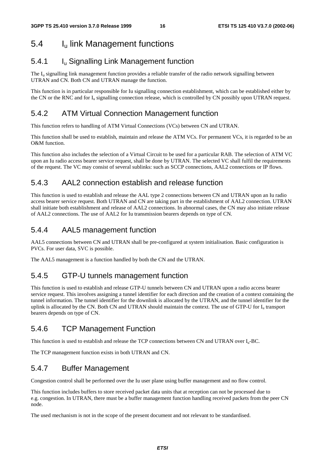# 5.4 Iu link Management functions

# 5.4.1 Iu Signalling Link Management function

The  $I<sub>u</sub>$  signalling link management function provides a reliable transfer of the radio network signalling between UTRAN and CN. Both CN and UTRAN manage the function.

This function is in particular responsible for Iu signalling connection establishment, which can be established either by the CN or the RNC and for  $I_u$  signalling connection release, which is controlled by CN possibly upon UTRAN request.

## 5.4.2 ATM Virtual Connection Management function

This function refers to handling of ATM Virtual Connections (VCs) between CN and UTRAN.

This function shall be used to establish, maintain and release the ATM VCs. For permanent VCs, it is regarded to be an O&M function.

This function also includes the selection of a Virtual Circuit to be used for a particular RAB. The selection of ATM VC upon an Iu radio access bearer service request, shall be done by UTRAN. The selected VC shall fulfil the requirements of the request. The VC may consist of several sublinks: such as SCCP connections, AAL2 connections or IP flows.

# 5.4.3 AAL2 connection establish and release function

This function is used to establish and release the AAL type 2 connections between CN and UTRAN upon an Iu radio access bearer service request. Both UTRAN and CN are taking part in the establishment of AAL2 connection. UTRAN shall initiate both establishment and release of AAL2 connections. In abnormal cases, the CN may also initiate release of AAL2 connections. The use of AAL2 for Iu transmission bearers depends on type of CN.

### 5.4.4 AAL5 management function

AAL5 connections between CN and UTRAN shall be pre-configured at system initialisation. Basic configuration is PVCs. For user data, SVC is possible.

The AAL5 management is a function handled by both the CN and the UTRAN.

### 5.4.5 GTP-U tunnels management function

This function is used to establish and release GTP-U tunnels between CN and UTRAN upon a radio access bearer service request. This involves assigning a tunnel identifier for each direction and the creation of a context containing the tunnel information. The tunnel identifier for the downlink is allocated by the UTRAN, and the tunnel identifier for the uplink is allocated by the CN. Both CN and UTRAN should maintain the context. The use of GTP-U for  $I<sub>u</sub>$  transport bearers depends on type of CN.

### 5.4.6 TCP Management Function

This function is used to establish and release the TCP connections between CN and UTRAN over  $I_{u}$ -BC.

The TCP management function exists in both UTRAN and CN.

### 5.4.7 Buffer Management

Congestion control shall be performed over the Iu user plane using buffer management and no flow control.

This function includes buffers to store received packet data units that at reception can not be processed due to e.g. congestion. In UTRAN, there must be a buffer management function handling received packets from the peer CN node.

The used mechanism is not in the scope of the present document and not relevant to be standardised.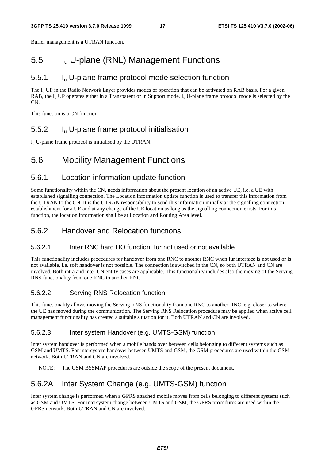Buffer management is a UTRAN function.

# 5.5 Iu U-plane (RNL) Management Functions

### 5.5.1 Iu U-plane frame protocol mode selection function

The  $I_{\rm u}$  UP in the Radio Network Layer provides modes of operation that can be activated on RAB basis. For a given RAB, the  $I_{\text{u}}$  UP operates either in a Transparent or in Support mode.  $I_{\text{u}}$  U-plane frame protocol mode is selected by the CN.

This function is a CN function.

### 5.5.2 Iu U-plane frame protocol initialisation

 $I<sub>u</sub>$  U-plane frame protocol is initialised by the UTRAN.

# 5.6 Mobility Management Functions

### 5.6.1 Location information update function

Some functionality within the CN, needs information about the present location of an active UE, i.e. a UE with established signalling connection. The Location information update function is used to transfer this information from the UTRAN to the CN. It is the UTRAN responsibility to send this information initially at the signalling connection establishment for a UE and at any change of the UE location as long as the signalling connection exists. For this function, the location information shall be at Location and Routing Area level.

### 5.6.2 Handover and Relocation functions

#### 5.6.2.1 Inter RNC hard HO function, Iur not used or not available

This functionality includes procedures for handover from one RNC to another RNC when Iur interface is not used or is not available, i.e. soft handover is not possible. The connection is switched in the CN, so both UTRAN and CN are involved. Both intra and inter CN entity cases are applicable. This functionality includes also the moving of the Serving RNS functionality from one RNC to another RNC.

#### 5.6.2.2 Serving RNS Relocation function

This functionality allows moving the Serving RNS functionality from one RNC to another RNC, e.g. closer to where the UE has moved during the communication. The Serving RNS Relocation procedure may be applied when active cell management functionality has created a suitable situation for it. Both UTRAN and CN are involved.

#### 5.6.2.3 Inter system Handover (e.g. UMTS-GSM) function

Inter system handover is performed when a mobile hands over between cells belonging to different systems such as GSM and UMTS. For intersystem handover between UMTS and GSM, the GSM procedures are used within the GSM network. Both UTRAN and CN are involved.

NOTE: The GSM BSSMAP procedures are outside the scope of the present document.

# 5.6.2A Inter System Change (e.g. UMTS-GSM) function

Inter system change is performed when a GPRS attached mobile moves from cells belonging to different systems such as GSM and UMTS. For intersystem change between UMTS and GSM, the GPRS procedures are used within the GPRS network. Both UTRAN and CN are involved.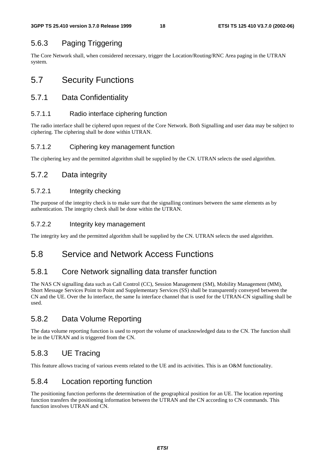# 5.6.3 Paging Triggering

The Core Network shall, when considered necessary, trigger the Location/Routing/RNC Area paging in the UTRAN system.

# 5.7 Security Functions

### 5.7.1 Data Confidentiality

#### 5.7.1.1 Radio interface ciphering function

The radio interface shall be ciphered upon request of the Core Network. Both Signalling and user data may be subject to ciphering. The ciphering shall be done within UTRAN.

#### 5.7.1.2 Ciphering key management function

The ciphering key and the permitted algorithm shall be supplied by the CN. UTRAN selects the used algorithm.

### 5.7.2 Data integrity

#### 5.7.2.1 Integrity checking

The purpose of the integrity check is to make sure that the signalling continues between the same elements as by authentication. The integrity check shall be done within the UTRAN.

#### 5.7.2.2 Integrity key management

The integrity key and the permitted algorithm shall be supplied by the CN. UTRAN selects the used algorithm.

# 5.8 Service and Network Access Functions

### 5.8.1 Core Network signalling data transfer function

The NAS CN signalling data such as Call Control (CC), Session Management (SM), Mobility Management (MM), Short Message Services Point to Point and Supplementary Services (SS) shall be transparently conveyed between the CN and the UE. Over the Iu interface, the same Iu interface channel that is used for the UTRAN-CN signalling shall be used.

### 5.8.2 Data Volume Reporting

The data volume reporting function is used to report the volume of unacknowledged data to the CN. The function shall be in the UTRAN and is triggered from the CN.

### 5.8.3 UE Tracing

This feature allows tracing of various events related to the UE and its activities. This is an O&M functionality.

### 5.8.4 Location reporting function

The positioning function performs the determination of the geographical position for an UE. The location reporting function transfers the positioning information between the UTRAN and the CN according to CN commands. This function involves UTRAN and CN.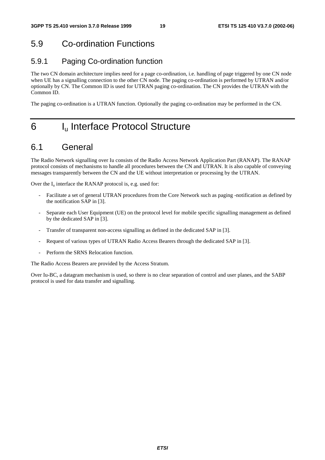# 5.9 Co-ordination Functions

# 5.9.1 Paging Co-ordination function

The two CN domain architecture implies need for a page co-ordination, i.e. handling of page triggered by one CN node when UE has a signalling connection to the other CN node. The paging co-ordination is performed by UTRAN and/or optionally by CN. The Common ID is used for UTRAN paging co-ordination. The CN provides the UTRAN with the Common ID.

The paging co-ordination is a UTRAN function. Optionally the paging co-ordination may be performed in the CN.

# 6 I<sub>u</sub> Interface Protocol Structure

# 6.1 General

The Radio Network signalling over Iu consists of the Radio Access Network Application Part (RANAP). The RANAP protocol consists of mechanisms to handle all procedures between the CN and UTRAN. It is also capable of conveying messages transparently between the CN and the UE without interpretation or processing by the UTRAN.

Over the  $I_u$  interface the RANAP protocol is, e.g. used for:

- Facilitate a set of general UTRAN procedures from the Core Network such as paging -notification as defined by the notification SAP in [3].
- Separate each User Equipment (UE) on the protocol level for mobile specific signalling management as defined by the dedicated SAP in [3].
- Transfer of transparent non-access signalling as defined in the dedicated SAP in [3].
- Request of various types of UTRAN Radio Access Bearers through the dedicated SAP in [3].
- Perform the SRNS Relocation function.

The Radio Access Bearers are provided by the Access Stratum.

Over Iu-BC, a datagram mechanism is used, so there is no clear separation of control and user planes, and the SABP protocol is used for data transfer and signalling.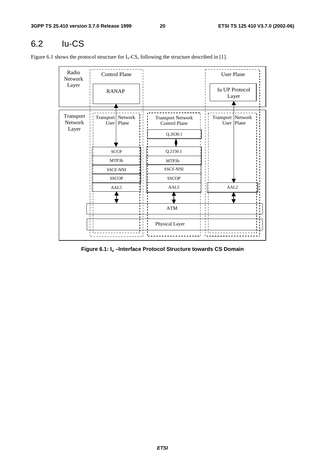# 6.2 Iu-CS

Figure 6.1 shows the protocol structure for  $I_u$ -CS, following the structure described in [1].

| Radio<br>Network<br>Layer     |                                                         | Control Plane |                                                              | <b>User Plane</b>                 |
|-------------------------------|---------------------------------------------------------|---------------|--------------------------------------------------------------|-----------------------------------|
|                               | <b>RANAP</b>                                            |               |                                                              | <b>Iu UP Protocol</b><br>Layer    |
| Transport<br>Network<br>Layer | Transport   Network                                     | User   Plane  | <b>Transport Network</b><br><b>Control Plane</b><br>Q.2630.1 | Transport Network<br>User   Plane |
|                               | <b>SCCP</b><br>MTP3b<br><b>SSCF-NNI</b><br><b>SSCOP</b> |               | Q.2150.1<br>MTP3b<br><b>SSCF-NNI</b><br><b>SSCOP</b>         |                                   |
|                               | AAL5                                                    |               | AAL5<br>$\bold{ATM}$                                         | AAL <sub>2</sub>                  |
| п                             |                                                         | ı.            | $\mathbf{I}$<br>$\blacksquare$<br>Physical Layer             |                                   |

**Figure 6.1: Iu –Interface Protocol Structure towards CS Domain**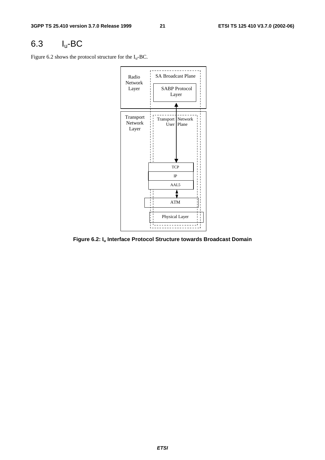# 6.3 Iu-BC

Figure 6.2 shows the protocol structure for the  $I_u$ -BC.



**Figure 6.2: Iu Interface Protocol Structure towards Broadcast Domain**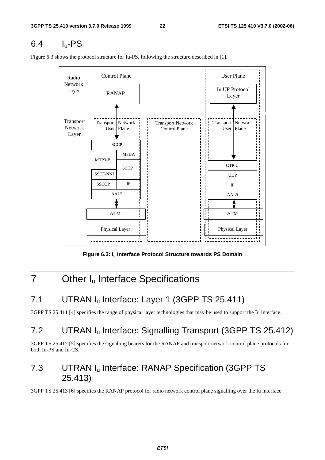# $6.4$  I<sub>u</sub>-PS

<u> - - - - - - - - - - -</u> Control Plane (User Plane Radio Network Iu UP Protocol Layer RANAP Layer Transport Transport Network Transport Network Transport Network Network User Plane Control Plane User Plane Layer **SCCP** M3UA MTP3-B GTP-U **SCTP** SSCF-NNI SSCF-NNI UDP IP **SSCOP** IP AAL5 AAL5 ATM ATM Physical Layer Physical Layer

Figure 6.3 shows the protocol structure for Iu-PS, following the structure described in [1].

Figure 6.3: I<sub>u</sub> Interface Protocol Structure towards PS Domain

# 7 Other I<sub>u</sub> Interface Specifications

# 7.1 UTRAN I<sub>u</sub> Interface: Layer 1 (3GPP TS 25.411)

3GPP TS 25.411 [4] specifies the range of physical layer technologies that may be used to support the Iu interface.

# 7.2 UTRAN Iu Interface: Signalling Transport (3GPP TS 25.412)

3GPP TS 25.412 [5] specifies the signalling bearers for the RANAP and transport network control plane protocols for both Iu-PS and Iu-CS.

# 7.3 UTRAN Iu Interface: RANAP Specification (3GPP TS 25.413)

3GPP TS 25.413 [6] specifies the RANAP protocol for radio network control plane signalling over the Iu interface.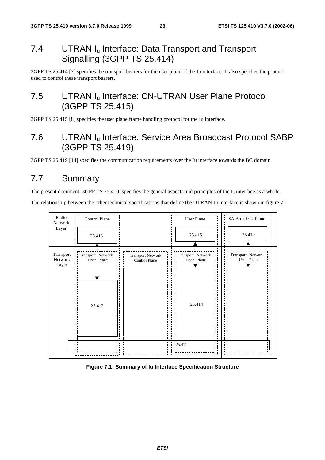# 7.4 UTRAN I<sub>u</sub> Interface: Data Transport and Transport Signalling (3GPP TS 25.414)

3GPP TS 25.414 [7] specifies the transport bearers for the user plane of the Iu interface. It also specifies the protocol used to control these transport bearers.

# 7.5 UTRAN I<sub>u</sub> Interface: CN-UTRAN User Plane Protocol (3GPP TS 25.415)

3GPP TS 25.415 [8] specifies the user plane frame handling protocol for the Iu interface.

# 7.6 UTRAN Iu Interface: Service Area Broadcast Protocol SABP (3GPP TS 25.419)

3GPP TS 25.419 [14] specifies the communication requirements over the Iu interface towards the BC domain.

# 7.7 Summary

The present document, 3GPP TS 25.410, specifies the general aspects and principles of the  $I_u$  interface as a whole.

The relationship between the other technical specifications that define the UTRAN Iu interface is shown in figure 7.1.



**Figure 7.1: Summary of Iu Interface Specification Structure**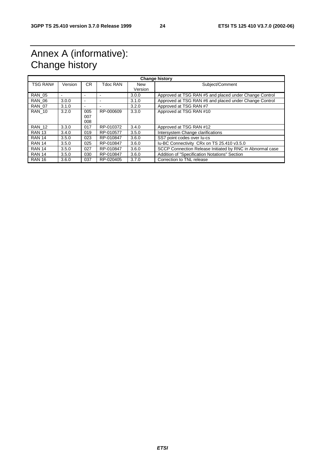# Annex A (informative): Change history

| <b>Change history</b> |         |                          |           |                |                                                           |
|-----------------------|---------|--------------------------|-----------|----------------|-----------------------------------------------------------|
| <b>TSG RAN#</b>       | Version | CR.                      | Tdoc RAN  | New<br>Version | Subject/Comment                                           |
| <b>RAN 05</b>         |         |                          |           | 3.0.0          | Approved at TSG RAN #5 and placed under Change Control    |
| <b>RAN 06</b>         | 3.0.0   | $\overline{\phantom{a}}$ |           | 3.1.0          | Approved at TSG RAN #6 and placed under Change Control    |
| <b>RAN 07</b>         | 3.1.0   | $\blacksquare$           |           | 3.2.0          | Approved at TSG RAN #7                                    |
| <b>RAN 10</b>         | 3.2.0   | 005                      | RP-000609 | 3.3.0          | Approved at TSG RAN #10                                   |
|                       |         | 007<br>008               |           |                |                                                           |
| <b>RAN_12</b>         | 3.3.0   | 017                      | RP-010372 | 3.4.0          | Approved at TSG RAN #12                                   |
| <b>RAN 13</b>         | 3.4.0   | 019                      | RP-010577 | 3.5.0          | Intersystem Change clarifications                         |
| <b>RAN 14</b>         | 3.5.0   | 023                      | RP-010847 | 3.6.0          | SS7 point codes over lu-cs                                |
| <b>RAN 14</b>         | 3.5.0   | 025                      | RP-010847 | 3.6.0          | Iu-BC Connectivity CRx on TS 25.410 v3.5.0                |
| <b>RAN 14</b>         | 3.5.0   | 027                      | RP-010847 | 3.6.0          | SCCP Connection Release Initiated by RNC in Abnormal case |
| <b>RAN 14</b>         | 3.5.0   | 030                      | RP-010847 | 3.6.0          | Addition of "Specification Notations" Section             |
| <b>RAN 16</b>         | 3.6.0   | 037                      | RP-020405 | 3.7.0          | Correction to TNL release                                 |